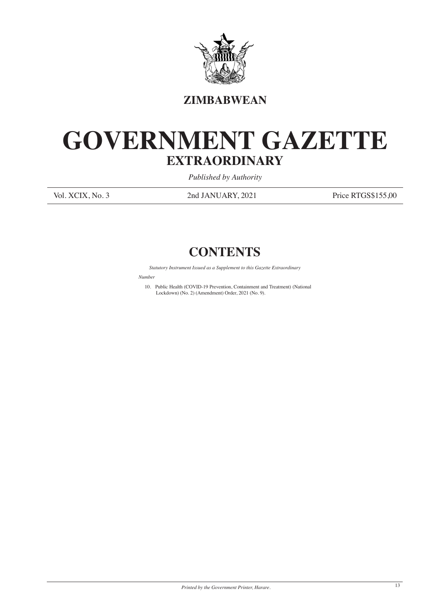

## **ZIMBABWEAN**

## **GOVERNMENT GAZETTE EXTRAORDINARY**

*Published by Authority*

Vol. XCIX, No. 3 2nd JANUARY, 2021 Price RTGS\$155,00

## **CONTENTS**

*Statutory Instrument Issued as a Supplement to this Gazette Extraordinary*

*Numbe* 

10. Public Health (COVID-19 Prevention, Containment and Treatment) (National Lockdown) (No. 2) (Amendment) Order, 2021 (No. 9).